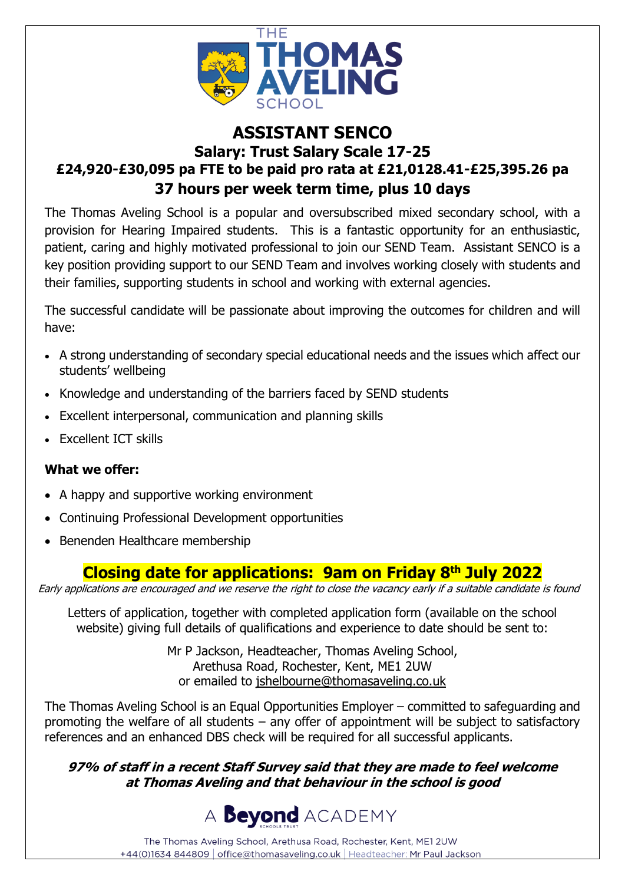

## **ASSISTANT SENCO Salary: Trust Salary Scale 17-25 £24,920-£30,095 pa FTE to be paid pro rata at £21,0128.41-£25,395.26 pa 37 hours per week term time, plus 10 days**

The Thomas Aveling School is a popular and oversubscribed mixed secondary school, with a provision for Hearing Impaired students. This is a fantastic opportunity for an enthusiastic, patient, caring and highly motivated professional to join our SEND Team. Assistant SENCO is a key position providing support to our SEND Team and involves working closely with students and their families, supporting students in school and working with external agencies.

The successful candidate will be passionate about improving the outcomes for children and will have:

- A strong understanding of secondary special educational needs and the issues which affect our students' wellbeing
- Knowledge and understanding of the barriers faced by SEND students
- Excellent interpersonal, communication and planning skills
- Excellent ICT skills

### **What we offer:**

- A happy and supportive working environment
- Continuing Professional Development opportunities
- Benenden Healthcare membership

# **Closing date for applications: 9am on Friday 8 th July 2022**

Early applications are encouraged and we reserve the right to close the vacancy early if a suitable candidate is found

Letters of application, together with completed application form (available on the school website) giving full details of qualifications and experience to date should be sent to:

> Mr P Jackson, Headteacher, Thomas Aveling School, Arethusa Road, Rochester, Kent, ME1 2UW or emailed to [jshelbourne@thomasaveling.co.uk](mailto:jshelbourne@thomasaveling.co.uk)

The Thomas Aveling School is an Equal Opportunities Employer – committed to safeguarding and promoting the welfare of all students – any offer of appointment will be subject to satisfactory references and an enhanced DBS check will be required for all successful applicants.

**97% of staff in a recent Staff Survey said that they are made to feel welcome at Thomas Aveling and that behaviour in the school is good**



The Thomas Aveling School, Arethusa Road, Rochester, Kent, ME1 2UW +44(0)1634 844809 | office@thomasaveling.co.uk | Headteacher: Mr Paul Jackson